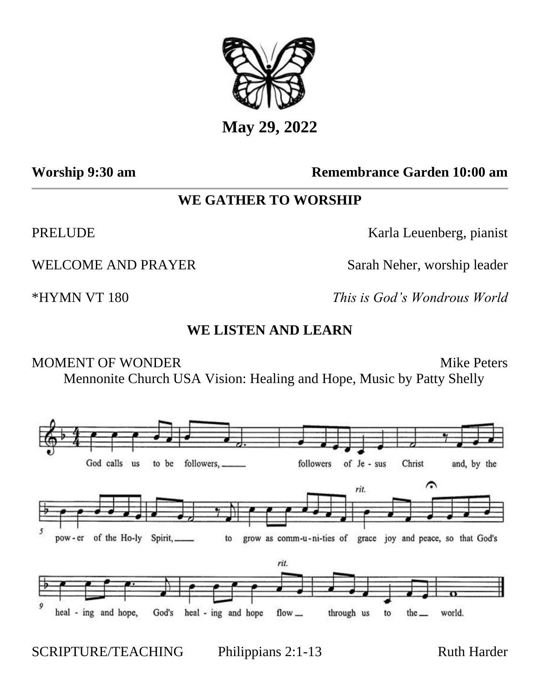

# **Worship 9:30 am Remembrance Garden 10:00 am**

# **WE GATHER TO WORSHIP**

PRELUDE Karla Leuenberg, pianist

WELCOME AND PRAYER Sarah Neher, worship leader

\*HYMN VT 180 *This is God's Wondrous World*

## **WE LISTEN AND LEARN**

MOMENT OF WONDER Mike Peters Mennonite Church USA Vision: Healing and Hope, Music by Patty Shelly



SCRIPTURE/TEACHING Philippians 2:1-13 Ruth Harder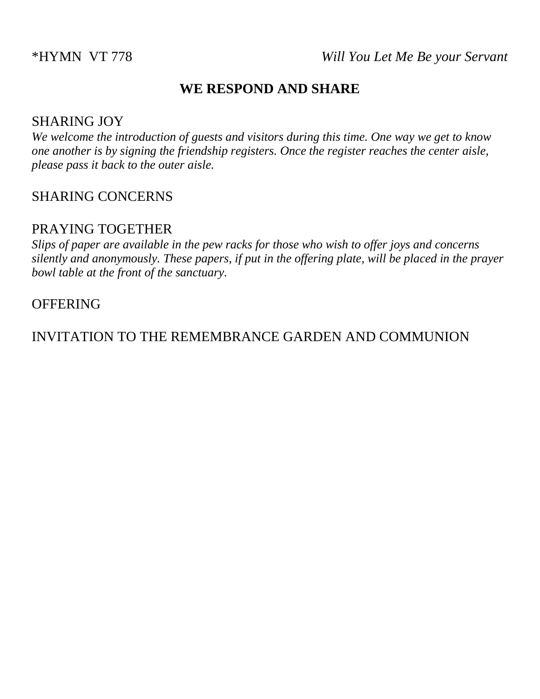## **WE RESPOND AND SHARE**

## SHARING JOY

*We welcome the introduction of guests and visitors during this time. One way we get to know one another is by signing the friendship registers. Once the register reaches the center aisle, please pass it back to the outer aisle.*

#### SHARING CONCERNS

## PRAYING TOGETHER

*Slips of paper are available in the pew racks for those who wish to offer joys and concerns silently and anonymously. These papers, if put in the offering plate, will be placed in the prayer bowl table at the front of the sanctuary.* 

#### **OFFERING**

INVITATION TO THE REMEMBRANCE GARDEN AND COMMUNION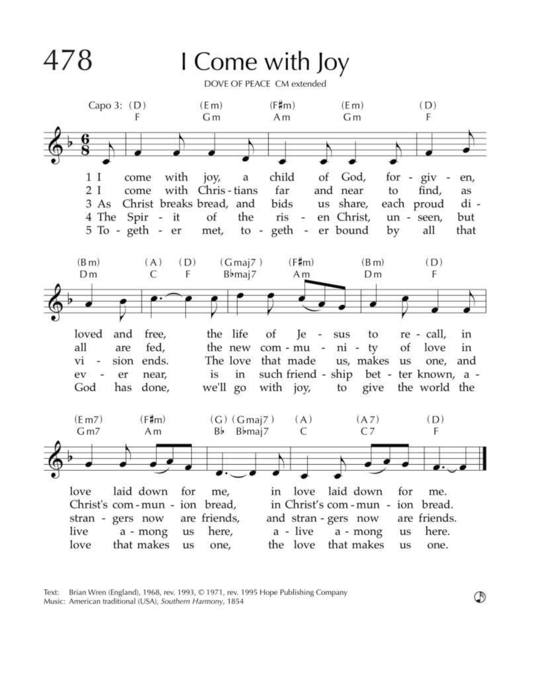

Text: Brian Wren (England), 1968, rev. 1993, © 1971, rev. 1995 Hope Publishing Company Music: American traditional (USA), Southern Harmony, 1854

 $^\circledR$